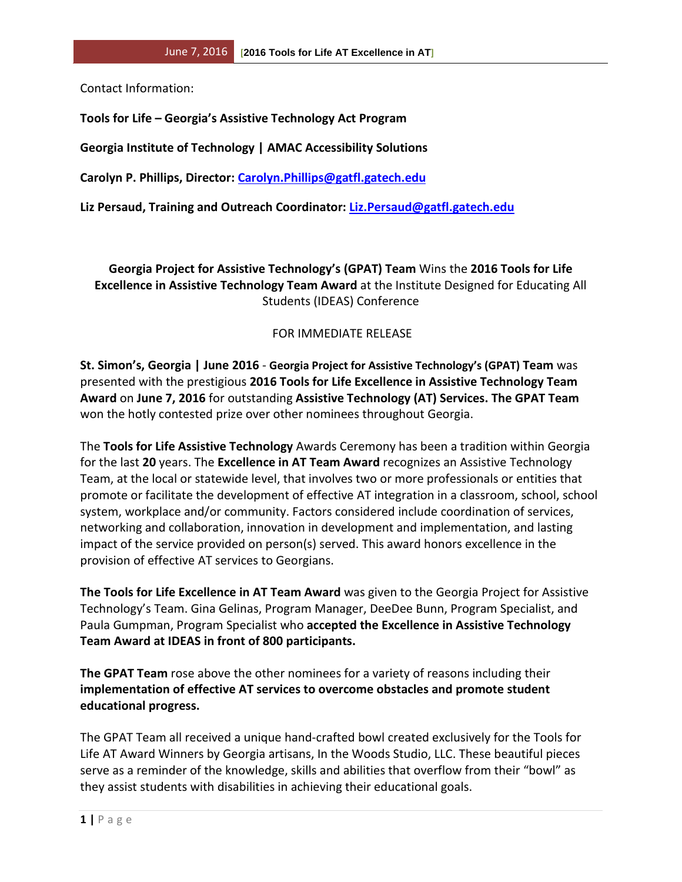Contact Information:

**Tools for Life – Georgia's Assistive Technology Act Program**

**Georgia Institute of Technology | AMAC Accessibility Solutions** 

**Carolyn P. Phillips, Director: [Carolyn.Phillips@gatfl.gatech.edu](mailto:Carolyn.Phillips@gatfl.gatech.edu)**

**Liz Persaud, Training and Outreach Coordinator: [Liz.Persaud@gatfl.gatech.edu](mailto:Liz.Persaud@gatfl.gatech.edu)**

**Georgia Project for Assistive Technology's (GPAT) Team** Wins the **2016 Tools for Life Excellence in Assistive Technology Team Award** at the Institute Designed for Educating All Students (IDEAS) Conference

## FOR IMMEDIATE RELEASE

**St. Simon's, Georgia | June 2016** - **Georgia Project for Assistive Technology's (GPAT) Team** was presented with the prestigious **2016 Tools for Life Excellence in Assistive Technology Team Award** on **June 7, 2016** for outstanding **Assistive Technology (AT) Services. The GPAT Team**  won the hotly contested prize over other nominees throughout Georgia.

The **Tools for Life Assistive Technology** Awards Ceremony has been a tradition within Georgia for the last **20** years. The **Excellence in AT Team Award** recognizes an Assistive Technology Team, at the local or statewide level, that involves two or more professionals or entities that promote or facilitate the development of effective AT integration in a classroom, school, school system, workplace and/or community. Factors considered include coordination of services, networking and collaboration, innovation in development and implementation, and lasting impact of the service provided on person(s) served. This award honors excellence in the provision of effective AT services to Georgians.

**The Tools for Life Excellence in AT Team Award** was given to the Georgia Project for Assistive Technology's Team. Gina Gelinas, Program Manager, DeeDee Bunn, Program Specialist, and Paula Gumpman, Program Specialist who **accepted the Excellence in Assistive Technology Team Award at IDEAS in front of 800 participants.** 

**The GPAT Team** rose above the other nominees for a variety of reasons including their **implementation of effective AT services to overcome obstacles and promote student educational progress.** 

The GPAT Team all received a unique hand-crafted bowl created exclusively for the Tools for Life AT Award Winners by Georgia artisans, In the Woods Studio, LLC. These beautiful pieces serve as a reminder of the knowledge, skills and abilities that overflow from their "bowl" as they assist students with disabilities in achieving their educational goals.